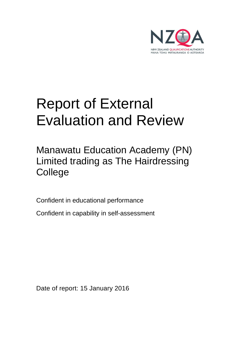

# Report of External Evaluation and Review

Manawatu Education Academy (PN) Limited trading as The Hairdressing College

Confident in educational performance

Confident in capability in self-assessment

Date of report: 15 January 2016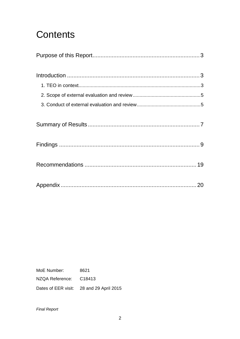## Contents

MoE Number: 8621 NZQA Reference: C18413 Dates of EER visit: 28 and 29 April 2015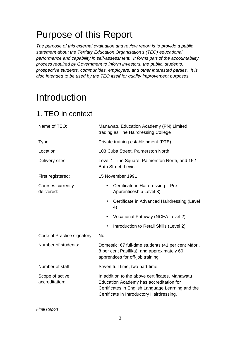## Purpose of this Report

The purpose of this external evaluation and review report is to provide a public statement about the Tertiary Education Organisation's (TEO) educational performance and capability in self-assessment. It forms part of the accountability process required by Government to inform investors, the public, students, prospective students, communities, employers, and other interested parties. It is also intended to be used by the TEO itself for quality improvement purposes.

## Introduction

## 1. TEO in context

| Name of TEO:                      | Manawatu Education Academy (PN) Limited<br>trading as The Hairdressing College                                                                                                               |  |  |
|-----------------------------------|----------------------------------------------------------------------------------------------------------------------------------------------------------------------------------------------|--|--|
| Type:                             | Private training establishment (PTE)                                                                                                                                                         |  |  |
| Location:                         | 103 Cuba Street, Palmerston North                                                                                                                                                            |  |  |
| Delivery sites:                   | Level 1, The Square, Palmerston North, and 152<br><b>Bath Street, Levin</b>                                                                                                                  |  |  |
| First registered:                 | 15 November 1991                                                                                                                                                                             |  |  |
| Courses currently<br>delivered:   | Certificate in Hairdressing - Pre<br>$\bullet$<br>Apprenticeship Level 3)                                                                                                                    |  |  |
|                                   | Certificate in Advanced Hairdressing (Level<br>4)                                                                                                                                            |  |  |
|                                   | Vocational Pathway (NCEA Level 2)                                                                                                                                                            |  |  |
|                                   | Introduction to Retail Skills (Level 2)                                                                                                                                                      |  |  |
| Code of Practice signatory:       | <b>No</b>                                                                                                                                                                                    |  |  |
| Number of students:               | Domestic: 67 full-time students (41 per cent Māori,<br>8 per cent Pasifika), and approximately 60<br>apprentices for off-job training                                                        |  |  |
| Number of staff:                  | Seven full-time, two part-time                                                                                                                                                               |  |  |
| Scope of active<br>accreditation: | In addition to the above certificates, Manawatu<br>Education Academy has accreditation for<br>Certificates in English Language Learning and the<br>Certificate in Introductory Hairdressing. |  |  |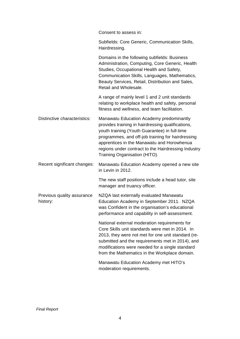Consent to assess in:

| Subfields: Core Generic, Communication Skills, |
|------------------------------------------------|
| Hairdressing.                                  |

Domains in the following subfields: Business Administration, Computing, Core Generic, Health Studies, Occupational Health and Safety, Communication Skills, Languages, Mathematics, Beauty Services, Retail, Distribution and Sales, Retail and Wholesale.

A range of mainly level 1 and 2 unit standards relating to workplace health and safety, personal fitness and wellness, and team facilitation.

- Distinctive characteristics: Manawatu Education Academy predominantly provides training in hairdressing qualifications, youth training (Youth Guarantee) in full-time programmes, and off-job training for hairdressing apprentices in the Manawatu and Horowhenua regions under contract to the Hairdressing Industry Training Organisation (HITO).
- Recent significant changes: Manawatu Education Academy opened a new site in Levin in 2012.

The new staff positions include a head tutor, site manager and truancy officer.

Previous quality assurance history: NZQA last externally evaluated Manawatu Education Academy in September 2011. NZQA was Confident in the organisation's educational performance and capability in self-assessment.

> National external moderation requirements for Core Skills unit standards were met in 2014. In 2013, they were not met for one unit standard (resubmitted and the requirements met in 2014), and modifications were needed for a single standard from the Mathematics in the Workplace domain.

Manawatu Education Academy met HITO's moderation requirements.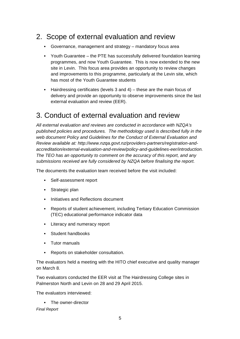### 2. Scope of external evaluation and review

- Governance, management and strategy mandatory focus area
- Youth Guarantee the PTE has successfully delivered foundation learning programmes, and now Youth Guarantee. This is now extended to the new site in Levin. This focus area provides an opportunity to review changes and improvements to this programme, particularly at the Levin site, which has most of the Youth Guarantee students
- Hairdressing certificates (levels 3 and 4) these are the main focus of delivery and provide an opportunity to observe improvements since the last external evaluation and review (EER).

### 3. Conduct of external evaluation and review

All external evaluation and reviews are conducted in accordance with NZQA's published policies and procedures. The methodology used is described fully in the web document Policy and Guidelines for the Conduct of External Evaluation and Review available at: http://www.nzqa.govt.nz/providers-partners/registration-andaccreditation/external-evaluation-and-review/policy-and-guidelines-eer/introduction. The TEO has an opportunity to comment on the accuracy of this report, and any submissions received are fully considered by NZQA before finalising the report.

The documents the evaluation team received before the visit included:

- Self-assessment report
- Strategic plan
- Initiatives and Reflections document
- Reports of student achievement, including Tertiary Education Commission (TEC) educational performance indicator data
- Literacy and numeracy report
- Student handbooks
- Tutor manuals
- Reports on stakeholder consultation.

The evaluators held a meeting with the HITO chief executive and quality manager on March 8.

Two evaluators conducted the EER visit at The Hairdressing College sites in Palmerston North and Levin on 28 and 29 April 2015.

The evaluators interviewed:

• The owner-director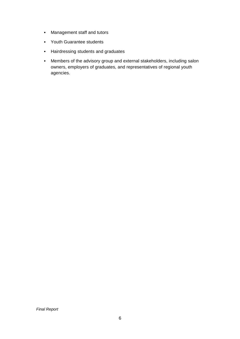- Management staff and tutors
- Youth Guarantee students
- Hairdressing students and graduates
- Members of the advisory group and external stakeholders, including salon owners, employers of graduates, and representatives of regional youth agencies.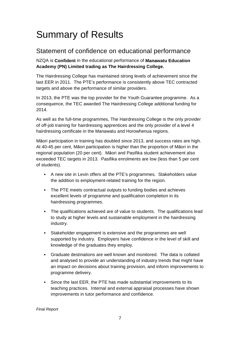## Summary of Results

### Statement of confidence on educational performance

NZQA is **Confident** in the educational performance of **Manawatu Education Academy (PN) Limited trading as The Hairdressing College.**

The Hairdressing College has maintained strong levels of achievement since the last EER in 2011. The PTE's performance is consistently above TEC contracted targets and above the performance of similar providers.

In 2013, the PTE was the top provider for the Youth Guarantee programme. As a consequence, the TEC awarded The Hairdressing College additional funding for 2014.

As well as the full-time programmes, The Hairdressing College is the only provider of off-job training for hairdressing apprentices and the only provider of a level 4 hairdressing certificate in the Manawatu and Horowhenua regions.

Māori participation in training has doubled since 2013, and success rates are high. At 40-45 per cent, Māori participation is higher than the proportion of Māori in the regional population (20 per cent). Māori and Pasifika student achievement also exceeded TEC targets in 2013. Pasifika enrolments are low (less than 5 per cent of students).

- A new site in Levin offers all the PTE's programmes. Stakeholders value the addition to employment-related training for the region.
- The PTE meets contractual outputs to funding bodies and achieves excellent levels of programme and qualification completion in its hairdressing programmes.
- The qualifications achieved are of value to students. The qualifications lead to study at higher levels and sustainable employment in the hairdressing industry.
- Stakeholder engagement is extensive and the programmes are well supported by industry. Employers have confidence in the level of skill and knowledge of the graduates they employ.
- Graduate destinations are well known and monitored. The data is collated and analysed to provide an understanding of industry trends that might have an impact on decisions about training provision, and inform improvements to programme delivery.
- Since the last EER, the PTE has made substantial improvements to its teaching practices. Internal and external appraisal processes have shown improvements in tutor performance and confidence.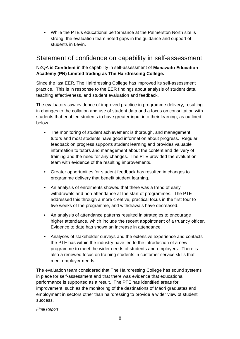• While the PTE's educational performance at the Palmerston North site is strong, the evaluation team noted gaps in the guidance and support of students in Levin.

### Statement of confidence on capability in self-assessment

#### NZQA is **Confident** in the capability in self-assessment of **Manawatu Education Academy (PN) Limited trading as The Hairdressing College.**

Since the last EER, The Hairdressing College has improved its self-assessment practice. This is in response to the EER findings about analysis of student data, teaching effectiveness, and student evaluation and feedback.

The evaluators saw evidence of improved practice in programme delivery, resulting in changes to the collation and use of student data and a focus on consultation with students that enabled students to have greater input into their learning, as outlined below.

- The monitoring of student achievement is thorough, and management, tutors and most students have good information about progress. Regular feedback on progress supports student learning and provides valuable information to tutors and management about the content and delivery of training and the need for any changes. The PTE provided the evaluation team with evidence of the resulting improvements.
- Greater opportunities for student feedback has resulted in changes to programme delivery that benefit student learning.
- An analysis of enrolments showed that there was a trend of early withdrawals and non-attendance at the start of programmes. The PTE addressed this through a more creative, practical focus in the first four to five weeks of the programme, and withdrawals have decreased.
- An analysis of attendance patterns resulted in strategies to encourage higher attendance, which include the recent appointment of a truancy officer. Evidence to date has shown an increase in attendance.
- Analyses of stakeholder surveys and the extensive experience and contacts the PTE has within the industry have led to the introduction of a new programme to meet the wider needs of students and employers. There is also a renewed focus on training students in customer service skills that meet employer needs.

The evaluation team considered that The Hairdressing College has sound systems in place for self-assessment and that there was evidence that educational performance is supported as a result. The PTE has identified areas for improvement, such as the monitoring of the destinations of Māori graduates and employment in sectors other than hairdressing to provide a wider view of student success.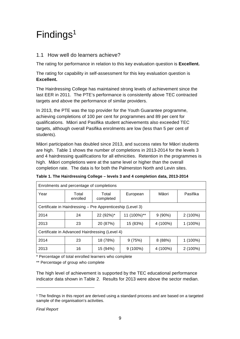## Findings<sup>1</sup>

#### 1.1 How well do learners achieve?

The rating for performance in relation to this key evaluation question is **Excellent.**

The rating for capability in self-assessment for this key evaluation question is **Excellent.**

The Hairdressing College has maintained strong levels of achievement since the last EER in 2011. The PTE's performance is consistently above TEC contracted targets and above the performance of similar providers.

In 2013, the PTE was the top provider for the Youth Guarantee programme, achieving completions of 100 per cent for programmes and 89 per cent for qualifications. Māori and Pasifika student achievements also exceeded TEC targets, although overall Pasifika enrolments are low (less than 5 per cent of students).

Māori participation has doubled since 2013, and success rates for Māori students are high. Table 1 shows the number of completions in 2013-2014 for the levels 3 and 4 hairdressing qualifications for all ethnicities. Retention in the programmes is high. Māori completions were at the same level or higher than the overall completion rate. The data is for both the Palmerston North and Levin sites.

| Enrolments and percentage of completions                   |                   |                    |             |           |            |
|------------------------------------------------------------|-------------------|--------------------|-------------|-----------|------------|
| Year                                                       | Total<br>enrolled | Total<br>completed | European    | Māori     | Pasifika   |
| Certificate in Hairdressing – Pre Apprenticeship (Level 3) |                   |                    |             |           |            |
| 2014                                                       | 24                | 22 (92%)*          | 11 (100%)** | $9(90\%)$ | $2(100\%)$ |
| 2013                                                       | 23                | 20 (87%)           | 15 (83%)    | 4 (100%)  | 1 (100%)   |
| Certificate in Advanced Hairdressing (Level 4)             |                   |                    |             |           |            |
| 2014                                                       | 23                | 18 (78%)           | 9(75%)      | 8(88%)    | $1(100\%)$ |
| 2013                                                       | 16                | 15 (94%)           | $9(100\%)$  | 4 (100%)  | $2(100\%)$ |

**Table 1. The Hairdressing College – levels 3 and 4 completion data, 2013-2014** 

\* Percentage of total enrolled learners who complete

\*\* Percentage of group who complete

The high level of achievement is supported by the TEC educational performance indicator data shown in Table 2. Results for 2013 were above the sector median.

l

<sup>1</sup> The findings in this report are derived using a standard process and are based on a targeted sample of the organisation's activities.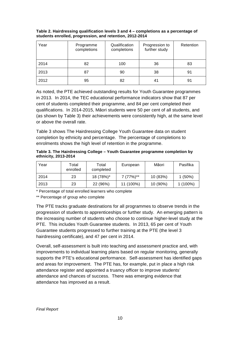| Year | Programme<br>completions | Qualification<br>completions | Progression to<br>further study | Retention |
|------|--------------------------|------------------------------|---------------------------------|-----------|
| 2014 | 82                       | 100                          | 36                              | 83        |
| 2013 | 87                       | 90                           | 38                              | 91        |
| 2012 | 95                       | 82                           | 41                              | 91        |

#### **Table 2. Hairdressing qualification levels 3 and 4 – completions as a percentage of students enrolled, progression, and retention, 2012-2014**

As noted, the PTE achieved outstanding results for Youth Guarantee programmes in 2013. In 2014, the TEC educational performance indicators show that 87 per cent of students completed their programme, and 84 per cent completed their qualifications. In 2014-2015, Māori students were 50 per cent of all students, and (as shown by Table 3) their achievements were consistently high, at the same level or above the overall rate.

Table 3 shows The Hairdressing College Youth Guarantee data on student completion by ethnicity and percentage. The percentage of completions to enrolments shows the high level of retention in the programme.

#### **Table 3. The Hairdressing College – Youth Guarantee programme completion by ethnicity, 2013-2014**

| Year | Total<br>enrolled | Total<br>completed | European    | Māori    | Pasifika   |
|------|-------------------|--------------------|-------------|----------|------------|
| 2014 | 23                | 18 (78%)*          | $7(77%)$ ** | 10 (83%) | $1(50\%)$  |
| 2013 | 23                | 22 (96%)           | 11 (100%)   | 10 (90%) | $1(100\%)$ |

\* Percentage of total enrolled learners who complete

\*\* Percentage of group who complete

The PTE tracks graduate destinations for all programmes to observe trends in the progression of students to apprenticeships or further study. An emerging pattern is the increasing number of students who choose to continue higher-level study at the PTE. This includes Youth Guarantee students. In 2013, 65 per cent of Youth Guarantee students progressed to further training at the PTE (the level 3 hairdressing certificate), and 47 per cent in 2014.

Overall, self-assessment is built into teaching and assessment practice and, with improvements to individual learning plans based on regular monitoring, generally supports the PTE's educational performance. Self-assessment has identified gaps and areas for improvement. The PTE has, for example, put in place a high risk attendance register and appointed a truancy officer to improve students' attendance and chances of success. There was emerging evidence that attendance has improved as a result.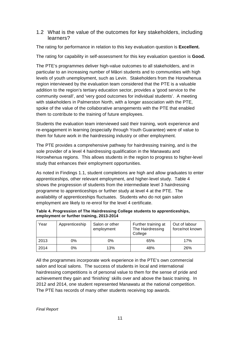#### 1.2 What is the value of the outcomes for key stakeholders, including learners?

The rating for performance in relation to this key evaluation question is **Excellent.**

The rating for capability in self-assessment for this key evaluation question is **Good.**

The PTE's programmes deliver high-value outcomes to all stakeholders, and in particular to an increasing number of Māori students and to communities with high levels of youth unemployment, such as Levin. Stakeholders from the Horowhenua region interviewed by the evaluation team considered that the PTE is a valuable addition to the region's tertiary education sector, provides a 'good service to the community overall', and 'very good outcomes for individual students'. A meeting with stakeholders in Palmerston North, with a longer association with the PTE, spoke of the value of the collaborative arrangements with the PTE that enabled them to contribute to the training of future employees.

Students the evaluation team interviewed said their training, work experience and re-engagement in learning (especially through Youth Guarantee) were of value to them for future work in the hairdressing industry or other employment.

The PTE provides a comprehensive pathway for hairdressing training, and is the sole provider of a level 4 hairdressing qualification in the Manawatu and Horowhenua regions. This allows students in the region to progress to higher-level study that enhances their employment opportunities.

As noted in Findings 1.1, student completions are high and allow graduates to enter apprenticeships, other relevant employment, and higher-level study. Table 4 shows the progression of students from the intermediate level 3 hairdressing programme to apprenticeships or further study at level 4 at the PTE. The availability of apprenticeships fluctuates. Students who do not gain salon employment are likely to re-enrol for the level 4 certificate.

| Year | Apprenticeship | Salon or other<br>employment | Further training at<br>The Hairdressing<br>College | Out of labour<br>force/not known |
|------|----------------|------------------------------|----------------------------------------------------|----------------------------------|
| 2013 | 0%             | $0\%$                        | 65%                                                | 17%                              |
| 2014 | 0%             | 13%                          | 48%                                                | 26%                              |

| Table 4. Progression of The Hairdressing College students to apprenticeships, |
|-------------------------------------------------------------------------------|
| employment or further training, 2013-2014                                     |

All the programmes incorporate work experience in the PTE's own commercial salon and local salons. The success of students in local and international hairdressing competitions is of personal value to them for the sense of pride and achievement they gain and 'finishing' skills over and above the basic training. In 2012 and 2014, one student represented Manawatu at the national competition. The PTE has records of many other students receiving top awards.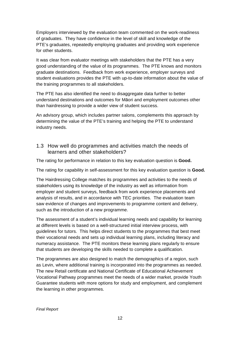Employers interviewed by the evaluation team commented on the work-readiness of graduates. They have confidence in the level of skill and knowledge of the PTE's graduates, repeatedly employing graduates and providing work experience for other students.

It was clear from evaluator meetings with stakeholders that the PTE has a very good understanding of the value of its programmes. The PTE knows and monitors graduate destinations. Feedback from work experience, employer surveys and student evaluations provides the PTE with up-to-date information about the value of the training programmes to all stakeholders.

The PTE has also identified the need to disaggregate data further to better understand destinations and outcomes for Māori and employment outcomes other than hairdressing to provide a wider view of student success.

An advisory group, which includes partner salons, complements this approach by determining the value of the PTE's training and helping the PTE to understand industry needs.

1.3 How well do programmes and activities match the needs of learners and other stakeholders?

The rating for performance in relation to this key evaluation question is **Good.**

The rating for capability in self-assessment for this key evaluation question is **Good.**

The Hairdressing College matches its programmes and activities to the needs of stakeholders using its knowledge of the industry as well as information from employer and student surveys, feedback from work experience placements and analysis of results, and in accordance with TEC priorities. The evaluation team saw evidence of changes and improvements to programme content and delivery, such as the introduction of a new programme.

The assessment of a student's individual learning needs and capability for learning at different levels is based on a well-structured initial interview process, with guidelines for tutors. This helps direct students to the programmes that best meet their vocational needs and sets up individual learning plans, including literacy and numeracy assistance. The PTE monitors these learning plans regularly to ensure that students are developing the skills needed to complete a qualification.

The programmes are also designed to match the demographics of a region, such as Levin, where additional training is incorporated into the programmes as needed. The new Retail certificate and National Certificate of Educational Achievement Vocational Pathway programmes meet the needs of a wider market, provide Youth Guarantee students with more options for study and employment, and complement the learning in other programmes.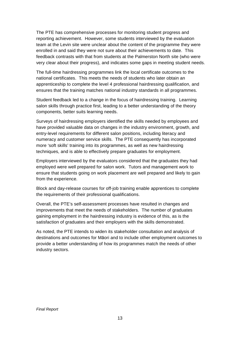The PTE has comprehensive processes for monitoring student progress and reporting achievement. However, some students interviewed by the evaluation team at the Levin site were unclear about the content of the programme they were enrolled in and said they were not sure about their achievements to date. This feedback contrasts with that from students at the Palmerston North site (who were very clear about their progress), and indicates some gaps in meeting student needs.

The full-time hairdressing programmes link the local certificate outcomes to the national certificates. This meets the needs of students who later obtain an apprenticeship to complete the level 4 professional hairdressing qualification, and ensures that the training matches national industry standards in all programmes.

Student feedback led to a change in the focus of hairdressing training. Learning salon skills through practice first, leading to a better understanding of the theory components, better suits learning needs.

Surveys of hairdressing employers identified the skills needed by employees and have provided valuable data on changes in the industry environment, growth, and entry-level requirements for different salon positions, including literacy and numeracy and customer service skills. The PTE consequently has incorporated more 'soft skills' training into its programmes, as well as new hairdressing techniques, and is able to effectively prepare graduates for employment.

Employers interviewed by the evaluators considered that the graduates they had employed were well prepared for salon work. Tutors and management work to ensure that students going on work placement are well prepared and likely to gain from the experience.

Block and day-release courses for off-job training enable apprentices to complete the requirements of their professional qualifications.

Overall, the PTE's self-assessment processes have resulted in changes and improvements that meet the needs of stakeholders. The number of graduates gaining employment in the hairdressing industry is evidence of this, as is the satisfaction of graduates and their employers with the skills demonstrated.

As noted, the PTE intends to widen its stakeholder consultation and analysis of destinations and outcomes for Māori and to include other employment outcomes to provide a better understanding of how its programmes match the needs of other industry sectors.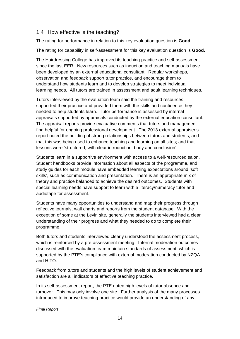#### 1.4 How effective is the teaching?

The rating for performance in relation to this key evaluation question is **Good.**

The rating for capability in self-assessment for this key evaluation question is **Good.**

The Hairdressing College has improved its teaching practice and self-assessment since the last EER. New resources such as induction and teaching manuals have been developed by an external educational consultant. Regular workshops, observation and feedback support tutor practice, and encourage them to understand how students learn and to develop strategies to meet individual learning needs. All tutors are trained in assessment and adult learning techniques.

Tutors interviewed by the evaluation team said the training and resources supported their practice and provided them with the skills and confidence they needed to help students learn. Tutor performance is assessed by internal appraisals supported by appraisals conducted by the external education consultant. The appraisal reports provide evaluative comments that tutors and management find helpful for ongoing professional development. The 2013 external appraiser's report noted the building of strong relationships between tutors and students, and that this was being used to enhance teaching and learning on all sites; and that lessons were 'structured, with clear introduction, body and conclusion'.

Students learn in a supportive environment with access to a well-resourced salon. Student handbooks provide information about all aspects of the programme, and study guides for each module have embedded learning expectations around 'soft skills', such as communication and presentation. There is an appropriate mix of theory and practice balanced to achieve the desired outcomes. Students with special learning needs have support to learn with a literacy/numeracy tutor and audiotape for assessment.

Students have many opportunities to understand and map their progress through reflective journals, wall charts and reports from the student database. With the exception of some at the Levin site, generally the students interviewed had a clear understanding of their progress and what they needed to do to complete their programme.

Both tutors and students interviewed clearly understood the assessment process, which is reinforced by a pre-assessment meeting. Internal moderation outcomes discussed with the evaluation team maintain standards of assessment, which is supported by the PTE's compliance with external moderation conducted by NZQA and HITO.

Feedback from tutors and students and the high levels of student achievement and satisfaction are all indicators of effective teaching practice.

In its self-assessment report, the PTE noted high levels of tutor absence and turnover. This may only involve one site. Further analysis of the many processes introduced to improve teaching practice would provide an understanding of any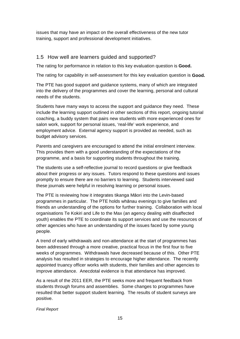issues that may have an impact on the overall effectiveness of the new tutor training, support and professional development initiatives.

#### 1.5 How well are learners guided and supported?

The rating for performance in relation to this key evaluation question is **Good.**

The rating for capability in self-assessment for this key evaluation question is **Good.**

The PTE has good support and guidance systems, many of which are integrated into the delivery of the programmes and cover the learning, personal and cultural needs of the students.

Students have many ways to access the support and guidance they need. These include the learning support outlined in other sections of this report, ongoing tutorial coaching, a buddy system that pairs new students with more experienced ones for salon work, support for personal issues, 'real-life' work experience, and employment advice. External agency support is provided as needed, such as budget advisory services.

Parents and caregivers are encouraged to attend the initial enrolment interview. This provides them with a good understanding of the expectations of the programme, and a basis for supporting students throughout the training.

The students use a self-reflective journal to record questions or give feedback about their progress or any issues. Tutors respond to these questions and issues promptly to ensure there are no barriers to learning. Students interviewed said these journals were helpful in resolving learning or personal issues.

The PTE is reviewing how it integrates tikanga Māori into the Levin-based programmes in particular. The PTE holds whānau evenings to give families and friends an understanding of the options for further training. Collaboration with local organisations Te Kokiri and Life to the Max (an agency dealing with disaffected youth) enables the PTE to coordinate its support services and use the resources of other agencies who have an understanding of the issues faced by some young people.

A trend of early withdrawals and non-attendance at the start of programmes has been addressed through a more creative, practical focus in the first four to five weeks of programmes. Withdrawals have decreased because of this. Other PTE analysis has resulted in strategies to encourage higher attendance. The recently appointed truancy officer works with students, their families and other agencies to improve attendance. Anecdotal evidence is that attendance has improved.

As a result of the 2011 EER, the PTE seeks more and frequent feedback from students through forums and assemblies. Some changes to programmes have resulted that better support student learning. The results of student surveys are positive.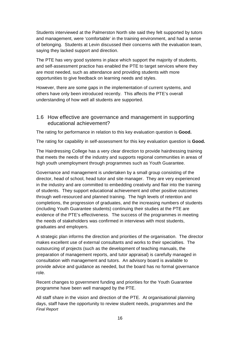Students interviewed at the Palmerston North site said they felt supported by tutors and management, were 'comfortable' in the training environment, and had a sense of belonging. Students at Levin discussed their concerns with the evaluation team, saying they lacked support and direction.

The PTE has very good systems in place which support the majority of students, and self-assessment practice has enabled the PTE to target services where they are most needed, such as attendance and providing students with more opportunities to give feedback on learning needs and styles.

However, there are some gaps in the implementation of current systems, and others have only been introduced recently. This affects the PTE's overall understanding of how well all students are supported.

1.6 How effective are governance and management in supporting educational achievement?

The rating for performance in relation to this key evaluation question is **Good.**

The rating for capability in self-assessment for this key evaluation question is **Good.**

The Hairdressing College has a very clear direction to provide hairdressing training that meets the needs of the industry and supports regional communities in areas of high youth unemployment through programmes such as Youth Guarantee.

Governance and management is undertaken by a small group consisting of the director, head of school, head tutor and site manager. They are very experienced in the industry and are committed to embedding creativity and flair into the training of students. They support educational achievement and other positive outcomes through well-resourced and planned training. The high levels of retention and completions, the progression of graduates, and the increasing numbers of students (including Youth Guarantee students) continuing their studies at the PTE are evidence of the PTE's effectiveness. The success of the programmes in meeting the needs of stakeholders was confirmed in interviews with most students, graduates and employers.

A strategic plan informs the direction and priorities of the organisation. The director makes excellent use of external consultants and works to their specialties. The outsourcing of projects (such as the development of teaching manuals, the preparation of management reports, and tutor appraisal) is carefully managed in consultation with management and tutors. An advisory board is available to provide advice and guidance as needed, but the board has no formal governance role.

Recent changes to government funding and priorities for the Youth Guarantee programme have been well managed by the PTE.

Final Report All staff share in the vision and direction of the PTE. At organisational planning days, staff have the opportunity to review student needs, programmes and the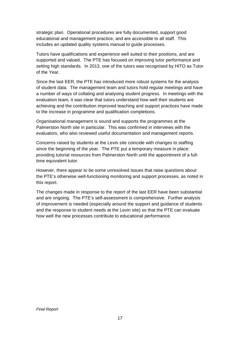strategic plan. Operational procedures are fully documented, support good educational and management practice, and are accessible to all staff. This includes an updated quality systems manual to guide processes.

Tutors have qualifications and experience well suited to their positions, and are supported and valued. The PTE has focused on improving tutor performance and setting high standards. In 2013, one of the tutors was recognised by HITO as Tutor of the Year.

Since the last EER, the PTE has introduced more robust systems for the analysis of student data. The management team and tutors hold regular meetings and have a number of ways of collating and analysing student progress. In meetings with the evaluation team, it was clear that tutors understand how well their students are achieving and the contribution improved teaching and support practices have made to the increase in programme and qualification completions.

Organisational management is sound and supports the programmes at the Palmerston North site in particular. This was confirmed in interviews with the evaluators, who also reviewed useful documentation and management reports.

Concerns raised by students at the Levin site coincide with changes to staffing since the beginning of the year. The PTE put a temporary measure in place: providing tutorial resources from Palmerston North until the appointment of a fulltime equivalent tutor.

However, there appear to be some unresolved issues that raise questions about the PTE's otherwise well-functioning monitoring and support processes, as noted in this report.

The changes made in response to the report of the last EER have been substantial and are ongoing. The PTE's self-assessment is comprehensive. Further analysis of improvement is needed (especially around the support and guidance of students and the response to student needs at the Levin site) so that the PTE can evaluate how well the new processes contribute to educational performance.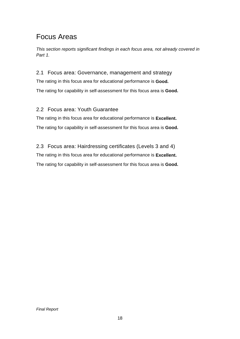## Focus Areas

This section reports significant findings in each focus area, not already covered in Part 1.

2.1 Focus area: Governance, management and strategy

The rating in this focus area for educational performance is **Good.** The rating for capability in self-assessment for this focus area is **Good.** 

#### 2.2 Focus area: Youth Guarantee

The rating in this focus area for educational performance is **Excellent.** The rating for capability in self-assessment for this focus area is **Good.** 

2.3 Focus area: Hairdressing certificates (Levels 3 and 4) The rating in this focus area for educational performance is **Excellent.**  The rating for capability in self-assessment for this focus area is **Good.**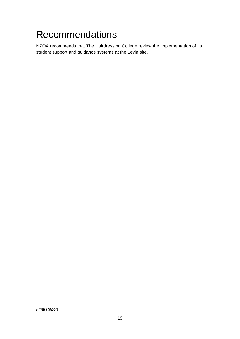## Recommendations

NZQA recommends that The Hairdressing College review the implementation of its student support and guidance systems at the Levin site.